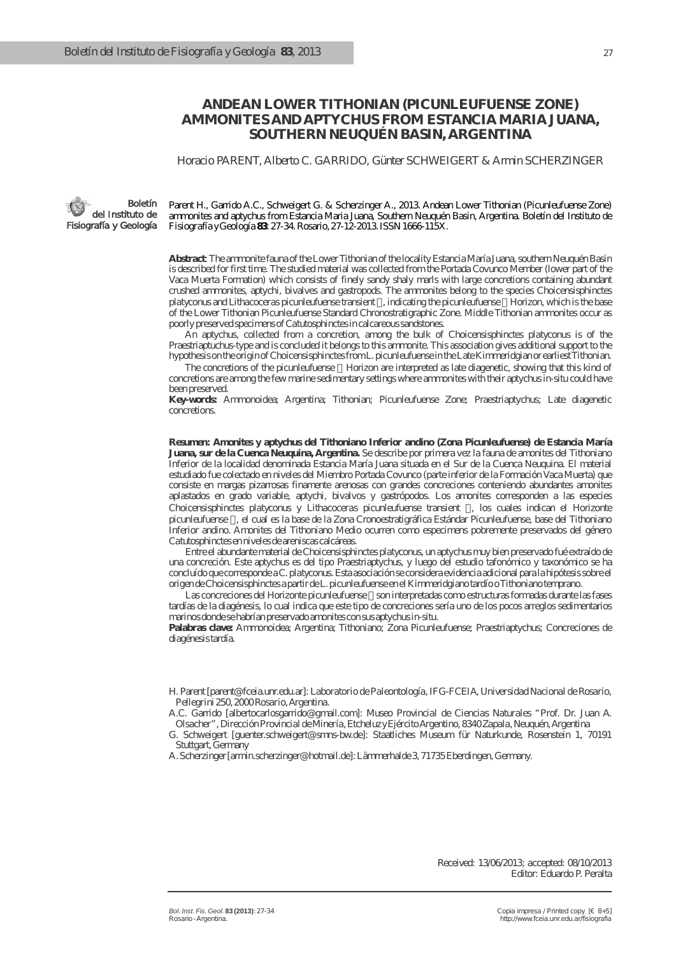# **ANDEAN LOWER TITHONIAN (PICUNLEUFUENSE ZONE) AMMONITES AND APTYCHUS FROM ESTANCIA MARIA JUANA, SOUTHERN NEUQUÉN BASIN, ARGENTINA**

Horacio PARENT, Alberto C. GARRIDO, Günter SCHWEIGERT & Armin SCHERZINGER

Boletín del Instituto de Fisiografía y Geología

Parent H., Garrido A.C., Schweigert G. & Scherzinger A., 2013. Andean Lower Tithonian (Picunleufuense Zone) ammonites and aptychus from Estancia Maria Juana, Southern Neuquén Basin, Argentina. *Boletín del Instituto de Fisiografía y Geología* **83**: 27-34. Rosario, 27-12-2013. ISSN 1666-115X.

**Abstract**: The ammonite fauna of the Lower Tithonian of the locality Estancia María Juana, southern Neuquén Basin is described for first time. The studied material was collected from the Portada Covunco Member (lower part of the Vaca Muerta Formation) which consists of finely sandy shaly marls with large concretions containing abundant crushed ammonites, aptychi, bivalves and gastropods. The ammonites belong to the species *Choicensisphinctes platyconus* and *Lithacoceras picunleufuense* transient , indicating the *picunleufuense* Horizon, which is the base of the Lower Tithonian Picunleufuense Standard Chronostratigraphic Zone. Middle Tithonian ammonites occur as poorly preserved specimens of *Catutosphinctes*in calcareous sandstones.

An aptychus, collected from a concretion, among the bulk of *Choicensisphinctes platyconus* is of the Praestriaptuchus-type and is concluded it belongs to this ammonite. This association gives additional support to the hypothesis on the origin of *Choicensisphinctes*from *L. picunleufuense* in the Late Kimmeridgian or earliest Tithonian.

The concretions of the *picunleufuense* Horizon are interpreted as late diagenetic, showing that this kind of concretions are among the few marine sedimentary settings where ammonites with their aptychus in-situ could have been preserved.

**Key-words:** Ammonoidea; Argentina; Tithonian; Picunleufuense Zone; Praestriaptychus; Late diagenetic concretions.

**Resumen: Amonites y aptychus del Tithoniano Inferior andino (Zona Picunleufuense) de Estancia María Juana, sur de la Cuenca Neuquina, Argentina.** Se describe por primera vez la fauna de amonites del Tithoniano Inferior de la localidad denominada Estancia María Juana situada en el Sur de la Cuenca Neuquina. El material estudiado fue colectado en niveles del Miembro Portada Covunco (parte inferior de la Formación Vaca Muerta) que consiste en margas pizarrosas finamente arenosas con grandes concreciones conteniendo abundantes amonites aplastados en grado variable, aptychi, bivalvos y gastrópodos. Los amonites corresponden a las especies *Choicensisphinctes platyconus* y *Lithacoceras picunleufuense* transient , los cuales indican el Horizonte picunleufuense , el cual es la base de la Zona Cronoestratigráfica Estándar Picunleufuense, base del Tithoniano Inferior andino. Amonites del Tithoniano Medio ocurren como especimens pobremente preservados del género *Catutosphinctes* en niveles de areniscas calcáreas.

Entre el abundante material de *Choicensisphinctes platyconus*, un aptychus muy bien preservado fué extraído de una concreción. Este aptychus es del tipo Praestriaptychus, y luego del estudio tafonómico y taxonómico se ha concluído que corresponde a *C. platyconus*. Esta asociación se considera evidencia adicional para la hipótesis sobre el origen de *Choicensisphinctes* a partir de *L. picunleufuense* en el Kimmeridgiano tardío o Tithoniano temprano.

Las concreciones del Horizonte picunleufuense son interpretadas como estructuras formadas durante las fases tardías de la diagénesis, lo cual indica que este tipo de concreciones sería uno de los pocos arreglos sedimentarios marinos donde se habrían preservado amonites con sus aptychus in-situ.

**Palabras clave:** Ammonoidea; Argentina; Tithoniano; Zona Picunleufuense; Praestriaptychus; Concreciones de diagénesis tardía.

H. Parent [parent@fceia.unr.edu.ar]: *Laboratorio de Paleontología, IFG-FCEIA, Universidad Nacional de Rosario, Pellegrini 250, 2000 Rosario, Argentina.*

A.C. Garrido [albertocarlosgarrido@gmail.com]: *Museo Provincial de Ciencias Naturales "Prof. Dr. Juan A. Olsacher", Dirección Provincial de Minería, Etcheluz y Ejército Argentino, 8340 Zapala, Neuquén, Argentina*

G. Schweigert [guenter.schweigert@smns-bw.de]: Staatliches Museum für Naturkunde, Rosenstein 1, 70191 Stuttgart, Germany

A. Scherzinger [armin.scherzinger@hotmail.de]: Lämmerhalde 3, 71735 Eberdingen, Germany.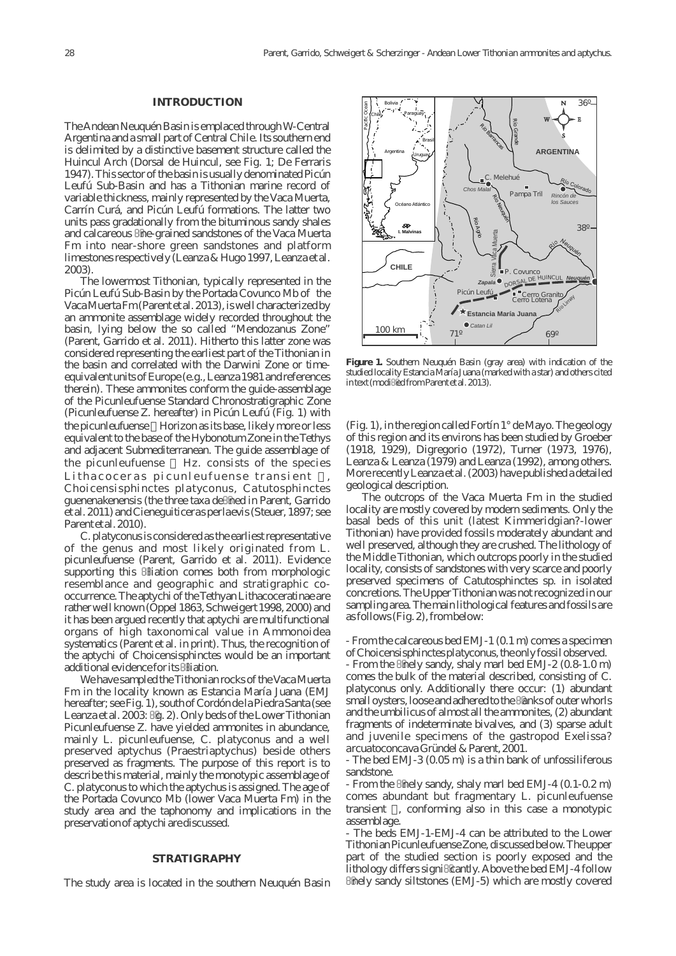Chilei Paraguay Bolivia

## **INTRODUCTION**

The Andean Neuquén Basin is emplaced through W-Central Argentina and a small part of Central Chile. Its southern end is delimited by a distinctive basement structure called the Huincul Arch (Dorsal de Huincul, see Fig. 1; De Ferraris 1947). This sector of the basin is usually denominated Picún Leufú Sub-Basin and has a Tithonian marine record of variable thickness, mainly represented by the Vaca Muerta, Carrín Curá, and Picún Leufú formations. The latter two units pass gradationally from the bituminous sandy shales and calcareous ne-grained sandstones of the Vaca Muerta Fm into near-shore green sandstones and platform limestones respectively (Leanza & Hugo 1997, Leanza et al. 2003).

The lowermost Tithonian, typically represented in the Picún Leufú Sub-Basin by the Portada Covunco Mb of the Vaca Muerta Fm (Parent et al. 2013), is well characterized by an ammonite assemblage widely recorded throughout the basin, lying below the so called "Mendozanus Zone" (Parent, Garrido et al. 2011). Hitherto this latter zone was considered representing the earliest part of the Tithonian in the basin and correlated with the Darwini Zone or timeequivalent units of Europe (e.g., Leanza 1981 and references therein). These ammonites conform the guide-assemblage of the Picunleufuense Standard Chronostratigraphic Zone (Picunleufuense Z. hereafter) in Picún Leufú (Fig. 1) with the *picunleufuense* Horizon as its base, likely more or less equivalent to the base of the Hybonotum Zone in the Tethys and adjacent Submediterranean. The guide assemblage of the *picunleufuense* Hz. consists of the species Lithacoceras picunleufuense transient *Choi c ensisphinc t e s plat y conus*, *Catutosphinc t e s guenenakenensis* (the three taxa de ned in Parent, Garrido et al. 2011) and *Cieneguiticeras perlaevis*(Steuer, 1897; see Parent et al. 2010).

*C. platyconus*is considered as the earliest representative of the genus and most likely originated from *L. picunleufuense* (Parent, Garrido et al. 2011). Evidence supporting this liation comes both from morphologic resemblance and geographic and stratigraphic cooccurrence. The aptychi of the Tethyan Lithacoceratinae are rather well known (Oppel 1863, Schweigert 1998, 2000) and it has been argued recently that aptychi are multifunctional organs of high taxonomical value in Ammonoidea systematics (Parent et al. in print). Thus, the recognition of the aptychi of *Choicensisphinctes* would be an important additional evidence for its liation.

We have sampled the Tithonian rocks of the Vaca Muerta Fm in the locality known as Estancia María Juana (EMJ hereafter; see Fig. 1), south of Cordón de la Piedra Santa (see Leanza et al. 2003: g. 2). Only beds of the Lower Tithonian Picunleufuense Z. have yielded ammonites in abundance, mainly *L. picunleufuense*, *C. platyconus* and a well preserved aptychus (Praestriaptychus) beside others preserved as fragments. The purpose of this report is to describe this material, mainly the monotypic assemblage of *C. platyconus* to which the aptychus is assigned. The age of the Portada Covunco Mb (lower Vaca Muerta Fm) in the study area and the taphonomy and implications in the preservation of aptychi are discussed.

#### **STRATIGRAPHY**

The study area is located in the southern Neuquén Basin

71º 69º 38º *Zapala* Cerro Granito<br>Cerro Lotena<br>Calcome *Neuquén* P. Covunco *Chos Malal* Picún Leufú Melehué *Catan Lil* **CHILE ARGENTINA** 100 km z<br>õ Agrio Río Grande 34º Argentina **Brasi** Uruguay **I. Malvinas** Océano Atlántico Pacific Ocean *Rincón de los Sauces* Río Barrancas Río Neugu Sierra Vaca Muerta E HUINCUL DORSAL D **Estancia María Juan** Pampa Tril

36º

**Figure 1.** Southern Neuquén Basin (gray area) with indication of the studied locality Estancia María Juana (marked with a star) and others cited in text (modied from Parent et al.  $2013$ ).

(Fig. 1), in the region called Fortín 1° de Mayo. The geology of this region and its environs has been studied by Groeber (1918, 1929), Digregorio (1972), Turner (1973, 1976), Leanza & Leanza (1979) and Leanza (1992), among others. More recently Leanza et al. (2003) have published a detailed geological description.

The outcrops of the Vaca Muerta Fm in the studied locality are mostly covered by modern sediments. Only the basal beds of this unit (latest Kimmeridgian?-lower Tithonian) have provided fossils moderately abundant and well preserved, although they are crushed. The lithology of the Middle Tithonian, which outcrops poorly in the studied locality, consists of sandstones with very scarce and poorly preserved specimens of *Catutosphinctes* sp. in isolated concretions. The Upper Tithonian was not recognized in our sampling area. The main lithological features and fossils are as follows (Fig. 2), from below:

- From the calcareous bed EMJ-1 (0.1 m) comes a specimen of *Choicensisphinctes platyconus*, the only fossil observed.

- From the nely sandy, shaly marl bed EMJ-2 (0.8-1.0 m) comes the bulk of the material described, consisting of *C. platyconus* only. Additionally there occur: (1) abundant small oysters, loose and adhered to the anks of outer whorls and the umbilicus of almost all the ammonites, (2) abundant fragments of indeterminate bivalves, and (3) sparse adult and juvenile specimens of the gastropod *Exelissa*? *arcuatoconcava* Gründel & Parent, 2001.

- The bed EMJ-3 (0.05 m) is a thin bank of unfossiliferous sandstone.

- From the nely sandy, shaly marl bed EMJ-4 (0.1-0.2 m) comes abundant but fragmentary *L. picunleufuense* transient , conforming also in this case a monotypic assemblage.

- The beds EMJ-1-EMJ-4 can be attributed to the Lower Tithonian Picunleufuense Zone, discussed below. The upper part of the studied section is poorly exposed and the lithology differs signi cantly. Above the bed EMJ-4 follow nely sandy siltstones (EMJ-5) which are mostly covered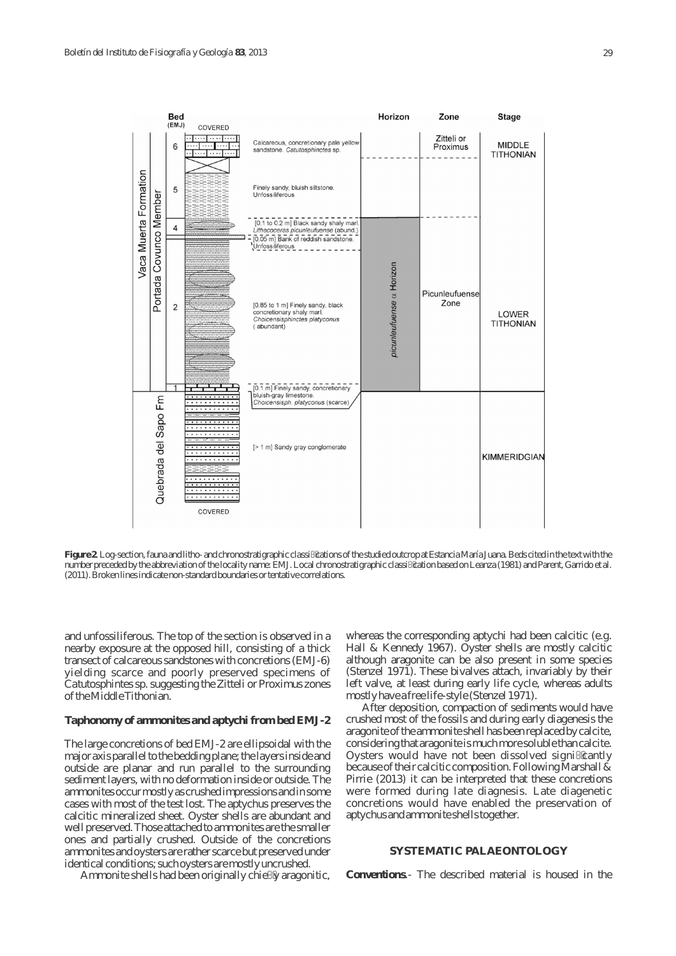

**Figure 2**. Log-section, fauna and litho- and chronostratigraphic classications of the studied outcrop at Estancia María Juana. Beds cited in the text with the number preceded by the abbreviation of the locality name: EMJ. Local chronostratigraphic classication based on Leanza (1981) and Parent, Garrido et al. (2011). Broken lines indicate non-standard boundaries or tentative correlations.

and unfossiliferous. The top of the section is observed in a nearby exposure at the opposed hill, consisting of a thick transect of calcareous sandstones with concretions (EMJ-6) yielding scarce and poorly preserved specimens of *Catutosphintes* sp. suggesting the Zitteli or Proximus zones of the Middle Tithonian.

# **Taphonomy of ammonites and aptychi from bed EMJ-2**

The large concretions of bed EMJ-2 are ellipsoidal with the major axis parallel to the bedding plane; the layers inside and outside are planar and run parallel to the surrounding sediment layers, with no deformation inside or outside. The ammonites occur mostly as crushed impressions and in some cases with most of the test lost. The aptychus preserves the calcitic mineralized sheet. Oyster shells are abundant and well preserved. Those attached to ammonites are the smaller ones and partially crushed. Outside of the concretions ammonites and oysters are rather scarce but preserved under identical conditions; such oysters are mostly uncrushed.

Ammonite shells had been originally chie y aragonitic,

whereas the corresponding aptychi had been calcitic (*e.g.* Hall & Kennedy 1967). Oyster shells are mostly calcitic although aragonite can be also present in some species (Stenzel 1971). These bivalves attach, invariably by their left valve, at least during early life cycle, whereas adults mostly have a free life-style (Stenzel 1971).

After deposition, compaction of sediments would have crushed most of the fossils and during early diagenesis the aragonite of the ammonite shell has been replaced by calcite, considering that aragonite is much more soluble than calcite. Oysters would have not been dissolved signi cantly because of their calcitic composition. Following Marshall & Pirrie (2013) it can be interpreted that these concretions were formed during late diagnesis. Late diagenetic concretions would have enabled the preservation of aptychus and ammonite shells together.

# **SYSTEMATIC PALAEONTOLOGY**

*Conventions*.- The described material is housed in the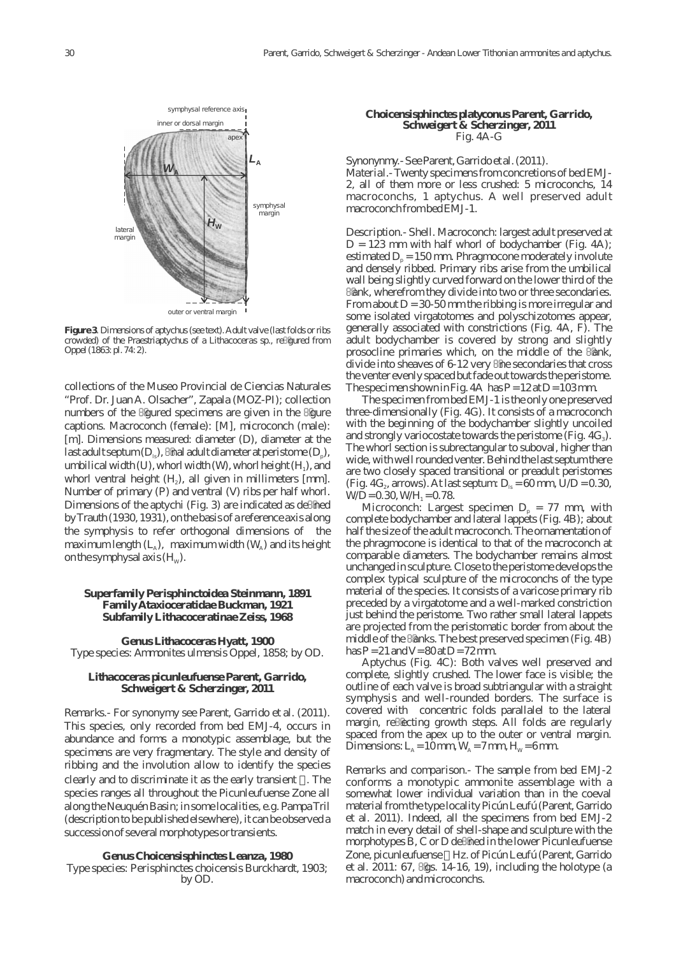

**Figure 3**. Dimensions of aptychus (see text). Adult valve (last folds or ribs crowded) of the Praestriaptychus of a *Lithacoceras* sp., regured from Oppel (1863: pl. 74: 2).

collections of the Museo Provincial de Ciencias Naturales "Prof. Dr. Juan A. Olsacher", Zapala (MOZ-PI); collection numbers of the gured specimens are given in the gure captions. Macroconch (female): [M], microconch (male): [m]. Dimensions measured: diameter (*D*), diameter at the last adult septum  $(D_{\text{ls}})$ , nal adult diameter at peristome  $(D_{\text{p}})$ , umbilical width  $(U)$ , whorl width  $(W)$ , whorl height  $(H_1)$ , and whorl ventral height  $(H_2)$ , all given in millimeters [mm]. Number of primary (*P*) and ventral (*V*) ribs per half whorl. Dimensions of the aptychi (Fig. 3) are indicated as de ned by Trauth (1930, 1931), on the basis of a reference axis along the symphysis to refer orthogonal dimensions of the maximum length  $(L_{\lambda})$ , maximum width  $(W_{\lambda})$  and its height on the symphysal axis  $(H_w)$ .

## **Superfamily Perisphinctoidea Steinmann, 1891 Family Ataxioceratidae Buckman, 1921 Subfamily Lithacoceratinae Zeiss, 1968**

**Genus** *Lithacoceras* **Hyatt, 1900** Type species: *Ammonites ulmensis* Oppel, 1858; by OD.

## *Lithacoceras picunleufuense* **Parent, Garrido, Schweigert & Scherzinger, 2011**

*Remarks*.- For synonymy see Parent, Garrido et al. (2011). This species, only recorded from bed EMJ-4, occurs in abundance and forms a monotypic assemblage, but the specimens are very fragmentary. The style and density of ribbing and the involution allow to identify the species clearly and to discriminate it as the early transient . The species ranges all throughout the Picunleufuense Zone all along the Neuquén Basin; in some localities, *e.g.* Pampa Tril (description to be published elsewhere), it can be observed a succession of several morphotypes or transients.

#### **Genus** *Choicensisphinctes* **Leanza, 1980** Type species: *Perisphinctes choicensis* Burckhardt, 1903; by OD.

#### *Choicensisphinctes platyconus* **Parent, Garrido, Schweigert & Scherzinger, 2011** Fig. 4A-G

#### *Synonynmy.-* See Parent, Garrido et al. (2011).

*Material*.- Twenty specimens from concretions of bed EMJ-2, all of them more or less crushed: 5 microconchs, 14 macroconchs, 1 aptychus. A well preserved adult macroconch from bed EMJ-1.

*Description*.- Shell. Macroconch: largest adult preserved at  $D = 123$  mm with half whorl of bodychamber (Fig. 4A); estimated  $D<sub>n</sub> = 150$  mm. Phragmocone moderately involute and densely ribbed. Primary ribs arise from the umbilical wall being slightly curved forward on the lower third of the

ank, wherefrom they divide into two or three secondaries. From about  $D = 30-50$  mm the ribbing is more irregular and some isolated virgatotomes and polyschizotomes appear, generally associated with constrictions (Fig. 4A, F). The adult bodychamber is covered by strong and slightly prosocline primaries which, on the middle of the ank, divide into sheaves of 6-12 very ne secondaries that cross the venter evenly spaced but fade out towards the peristome. The specimen shown in Fig. 4A has  $P = 12$  at  $D = 103$  mm.

The specimen from bed EMJ-1 is the only one preserved three-dimensionally (Fig. 4G). It consists of a macroconch with the beginning of the bodychamber slightly uncoiled and strongly variocostate towards the peristome (Fig.  $4G_3$ ). The whorl section is subrectangular to suboval, higher than wide, with well rounded venter. Behind the last septum there are two closely spaced transitional or preadult peristomes (Fig. 4G<sub>2</sub>, arrows). At last septum:  $D_{1s} = 60$  mm,  $U/D = 0.30$ ,  $W/D = 0.30, W/H_1 = 0.78.$ 

Microconch: Largest specimen  $D<sub>p</sub> = 77$  mm, with complete bodychamber and lateral lappets (Fig. 4B); about half the size of the adult macroconch. The ornamentation of the phragmocone is identical to that of the macroconch at comparable diameters. The bodychamber remains almost unchanged in sculpture. Close to the peristome develops the complex typical sculpture of the microconchs of the type material of the species. It consists of a varicose primary rib preceded by a virgatotome and a well-marked constriction just behind the peristome. Two rather small lateral lappets are projected from the peristomatic border from about the middle of the anks. The best preserved specimen (Fig. 4B) has  $P = 21$  and  $V = 80$  at  $D = 72$  mm.

Aptychus (Fig. 4C): Both valves well preserved and complete, slightly crushed. The lower face is visible; the outline of each valve is broad subtriangular with a straight symphysis and well-rounded borders. The surface is covered with concentric folds parallalel to the lateral margin, re ecting growth steps. All folds are regularly spaced from the apex up to the outer or ventral margin. Dimensions:  $L_A = 10$  mm,  $W_A = 7$  mm,  $H_w = 6$  mm.

*Remarks and comparison*.- The sample from bed EMJ-2 conforms a monotypic ammonite assemblage with a somewhat lower individual variation than in the coeval material from the type locality Picún Leufú (Parent, Garrido et al. 2011). Indeed, all the specimens from bed EMJ-2 match in every detail of shell-shape and sculpture with the morphotypes B, C or D de ned in the lower Picunleufuense Zone, *picunleufuense* Hz. of Picún Leufú (Parent, Garrido et al. 2011: 67, gs. 14-16, 19), including the holotype (a macroconch) and microconchs.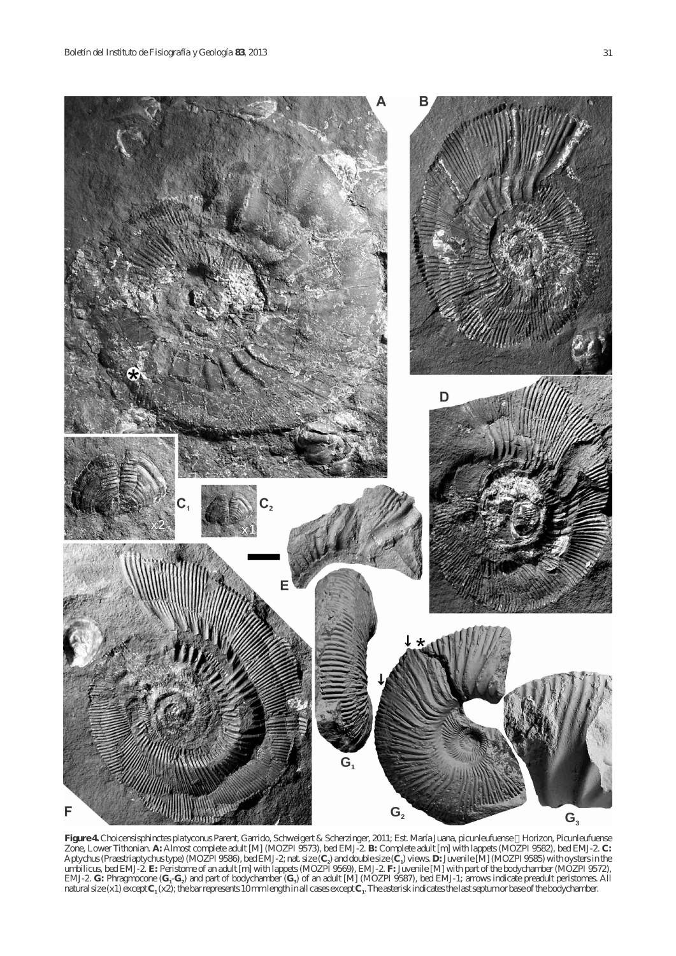

**Figure 4.** *Choicensisphinctes platyconus* Parent, Garrido, Schweigert & Scherzinger, 2011; Est. María Juana, *picunleufuense* Horizon, Picunleufuense Zone, Lower Tithonian. **A:** Almost complete adult [M] (MOZPI 9573), bed EMJ-2. **B:** Complete adult [m] with lappets (MOZPI 9582), bed EMJ-2. **C:**  Aptychus (Praestriaptychus type) (MOZPI 9586), bed EMJ-2; nat. size  $(C_2)$  and double size  $(C_1)$  views.  $D:$  Juvenile [M] (MOZPI 9585) with oysters in the umbilicus, bed EMJ-2. **E:** Peristome of an adult [m] with lappets (MOZPI 9569), EMJ-2. **F:** Juvenile [M] with part of the bodychamber (MOZPI 9572), EMJ-2. **G:** Phragmocone  $(G_1-G_2)$  and part of bodychamber  $(G_3)$  of an adult [M] (MOZPI 9587), bed EMJ-1; arrows indicate preadult peristomes. All natural size  $(x1)$  except  $C_1(x2)$ ; the bar represents 10 mm length in all cases except  $C_1$ . The asterisk indicates the last septum or base of the bodychamber.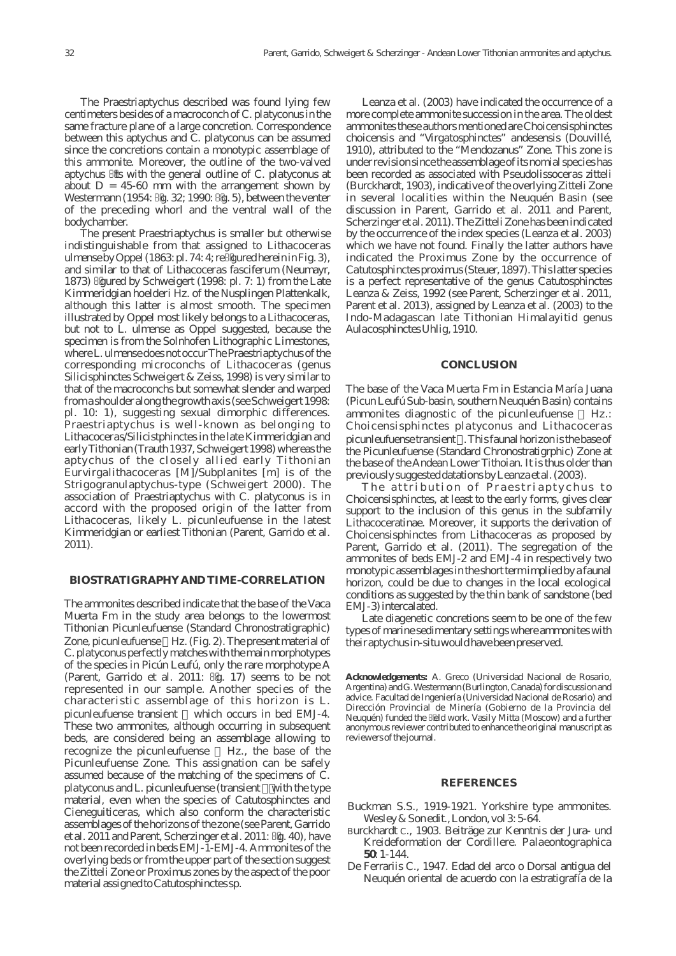The Praestriaptychus described was found lying few centimeters besides of a macroconch of *C. platyconus* in the same fracture plane of a large concretion. Correspondence between this aptychus and *C. platyconus* can be assumed since the concretions contain a monotypic assemblage of this ammonite. Moreover, the outline of the two-valved aptychus ts with the general outline of *C. platyconus* at about  $D = 45-60$  mm with the arrangement shown by Westermann (1954: g. 32; 1990: g. 5), between the venter of the preceding whorl and the ventral wall of the bodychamber.

The present Praestriaptychus is smaller but otherwise indistinguishable from that assigned to *Lithacoceras ulmense* by Oppel (1863: pl. 74: 4; re gured herein in Fig. 3), and similar to that of *Lithacoceras fasciferum* (Neumayr, 1873) gured by Schweigert (1998: pl. 7: 1) from the Late Kimmeridgian *hoelderi* Hz. of the Nusplingen Plattenkalk, although this latter is almost smooth. The specimen illustrated by Oppel most likely belongs to a *Lithacoceras*, but not to *L. ulmense* as Oppel suggested, because the specimen is from the Solnhofen Lithographic Limestones, where *L. ulmense* does not occur The Praestriaptychus of the corresponding microconchs of *Lithacoceras* (genus *Silicisphinctes* Schweigert & Zeiss, 1998) is very similar to that of the macroconchs but somewhat slender and warped from a shoulder along the growth axis (see Schweigert 1998: pl. 10: 1), suggesting sexual dimorphic differences. Praestriaptychus is well-known as belonging to *Lithacoceras/Silicistphinctes* in the late Kimmeridgian and early Tithonian (Trauth 1937, Schweigert 1998) whereas the aptychus of the closely allied early Tithonian *Eurvirgalithacoceras* [M]/*Subplanites* [m] is of the Strigogranulaptychus-type (Schweigert 2000). The association of Praestriaptychus with *C. platyconus* is in accord with the proposed origin of the latter from *Lithacoceras*, likely *L. picunleufuense* in the latest Kimmeridgian or earliest Tithonian (Parent, Garrido et al. 2011).

# **BIOSTRATIGRAPHY AND TIME-CORRELATION**

The ammonites described indicate that the base of the Vaca Muerta Fm in the study area belongs to the lowermost Tithonian Picunleufuense (Standard Chronostratigraphic) Zone, *picunleufuense* Hz. (Fig. 2). The present material of *C. platyconus* perfectly matches with the main morphotypes of the species in Picún Leufú, only the rare morphotype A (Parent, Garrido et al. 2011: g. 17) seems to be not represented in our sample. Another species of the characteristic assemblage of this horizon is *L*. *picunleufuense* transient which occurs in bed EMJ-4. These two ammonites, although occurring in subsequent beds, are considered being an assemblage allowing to recognize the *picunleufuense* Hz., the base of the Picunleufuense Zone. This assignation can be safely assumed because of the matching of the specimens of *C. platyconus* and *L. picunleufuense* (transient with the type material, even when the species of *Catutosphinctes* and *Cieneguiticeras*, which also conform the characteristic assemblages of the horizons of the zone (see Parent, Garrido et al. 2011 and Parent, Scherzinger et al. 2011: g. 40), have not been recorded in beds EMJ-1-EMJ-4. Ammonites of the overlying beds or from the upper part of the section suggest the Zitteli Zone or Proximus zones by the aspect of the poor material assigned to *Catutosphinctes*sp.

Leanza et al. (2003) have indicated the occurrence of a more complete ammonite succession in the area. The oldest ammonites these authors mentioned are *Choicensisphinctes choicensis* and "*Virgatosphinctes*" *andesensis* (Douvillé, 1910), attributed to the "Mendozanus" Zone. This zone is under revision since the assemblage of its nomial species has been recorded as associated with *Pseudolissoceras zitteli* (Burckhardt, 1903), indicative of the overlying Zitteli Zone in several localities within the Neuquén Basin (see discussion in Parent, Garrido et al. 2011 and Parent, Scherzinger et al. 2011). The Zitteli Zone has been indicated by the occurrence of the index species (Leanza et al. 2003) which we have not found. Finally the latter authors have indicated the Proximus Zone by the occurrence of *Catutosphinctes proximus*(Steuer, 1897). This latter species is a perfect representative of the genus *Catutosphinctes* Leanza & Zeiss, 1992 (see Parent, Scherzinger et al. 2011, Parent et al. 2013), assigned by Leanza et al. (2003) to the Indo-Madagascan late Tithonian Himalayitid genus *Aulacosphinctes* Uhlig, 1910.

#### **CONCLUSION**

The base of the Vaca Muerta Fm in Estancia María Juana (Picun Leufú Sub-basin, southern Neuquén Basin) contains ammonites diagnostic of the *picunleufuense* Hz.: *Choicensisphinctes platyconus* and *Lithacoceras picunleufuense* transient . This faunal horizon is the base of the Picunleufuense (Standard Chronostratigrphic) Zone at the base of the Andean Lower Tithoian. It is thus older than previously suggested datations by Leanza et al. (2003).

The attribution of Praestriaptychus to *Choicensisphinctes*, at least to the early forms, gives clear support to the inclusion of this genus in the subfamily Lithacoceratinae. Moreover, it supports the derivation of *Choicensisphinctes* from *Lithacoceras* as proposed by Parent, Garrido et al. (2011). The segregation of the ammonites of beds EMJ-2 and EMJ-4 in respectively two monotypic assemblages in the short term implied by a faunal horizon, could be due to changes in the local ecological conditions as suggested by the thin bank of sandstone (bed EMJ-3) intercalated.

Late diagenetic concretions seem to be one of the few types of marine sedimentary settings where ammonites with their aptychus in-situ would have been preserved.

**Acknowledgements:** A. Greco (Universidad Nacional de Rosario, Argentina) and G. Westermann (Burlington, Canada) for discussion and advice. Facultad de Ingeniería (Universidad Nacional de Rosario) and Dirección Provincial de Minería (Gobierno de la Provincia del Neuquén) funded the eld work. Vasily Mitta (Moscow) and a further anonymous reviewer contributed to enhance the original manuscript as reviewers of the journal.

#### **REFERENCES**

- Buckman S.S., 1919-1921. Yorkshire type ammonites. Wesley & Son edit., London, vol 3: 5-64.
- Burckhardt C., 1903. Beiträge zur Kenntnis der Jura- und Kreideformation der Cordillere. *Palaeontographica* **50**: 1-144.
- De Ferrariis C., 1947. Edad del arco o Dorsal antigua del Neuquén oriental de acuerdo con la estratigrafía de la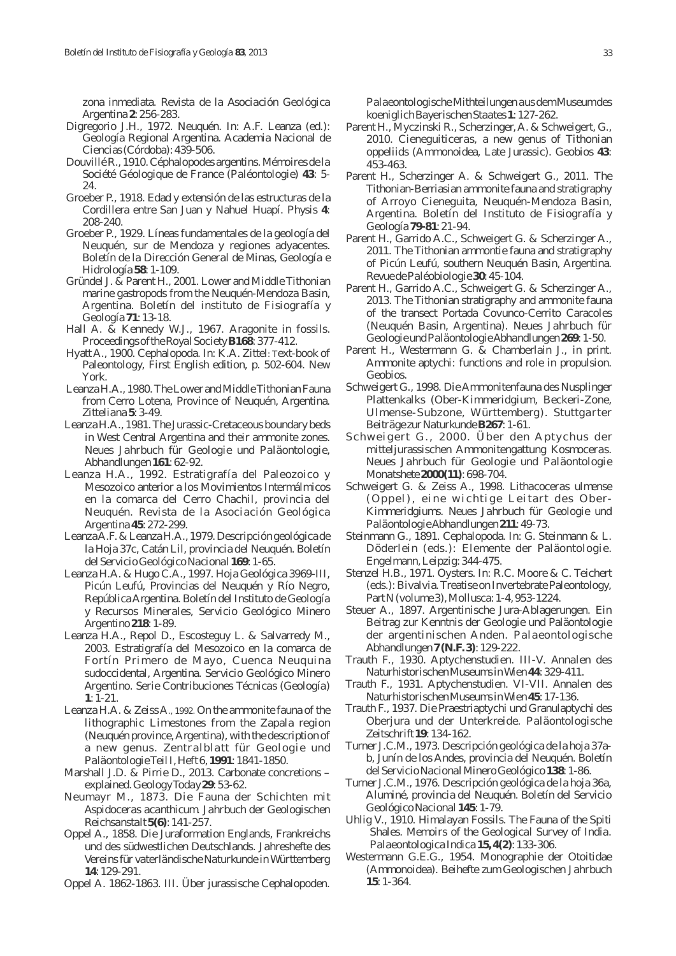zona inmediata. *Revista de la Asociación Geológica Argentina* **2**: 256-283.

- Digregorio J.H., 1972. Neuquén. *In*: A.F. Leanza (*ed*.): Geología Regional Argentina. Academia Nacional de Ciencias (Córdoba): 439-506.
- Douvillé R., 1910. Céphalopodes argentins. *Mémoires de la Société Géologique de France (Paléontologie)* **43**: 5- 24.
- Groeber P., 1918. Edad y extensión de las estructuras de la Cordillera entre San Juan y Nahuel Huapí. *Physis* **4**: 208-240.
- Groeber P., 1929. Líneas fundamentales de la geología del Neuquén, sur de Mendoza y regiones adyacentes. *Boletín de la Dirección General de Minas, Geología e Hidrología* **58**: 1-109.
- Gründel J. & Parent H., 2001. Lower and Middle Tithonian marine gastropods from the Neuquén-Mendoza Basin, Argentina. *Boletín del instituto de Fisiografía y Geología* **71**: 13-18.
- Hall A. & Kennedy W.J., 1967. Aragonite in fossils. *Proceedings of the Royal Society***B168**: 377-412.
- Hyatt A., 1900. Cephalopoda. *In*: K.A. Zittel: Text-book of Paleontology, First English edition, p. 502-604. New York.
- Leanza H.A., 1980. The Lower and Middle Tithonian Fauna from Cerro Lotena, Province of Neuquén, Argentina. *Zitteliana* **5**: 3-49.
- Leanza H.A., 1981. The Jurassic-Cretaceous boundary beds in West Central Argentina and their ammonite zones. *Neues Jahrbuch für Geologie und Paläontologie, Abhandlungen* **161**: 62-92.
- Leanza H.A., 1992. Estratigrafía del Paleozoico y Mesozoico anterior a los Movimientos Intermálmicos en la comarca del Cerro Chachil, provincia del Neuquén. *Revista de la Asociación Geológica Argentina* **45**: 272-299.
- Leanza A.F. & Leanza H.A., 1979. Descripción geológica de la Hoja 37c, Catán Lil, provincia del Neuquén. *Boletín del Servicio Geológico Nacional* **169**: 1-65.
- Leanza H.A. & Hugo C.A., 1997. Hoja Geológica 3969-III, Picún Leufú, Provincias del Neuquén y Río Negro, República Argentina. *Boletín del Instituto de Geología y Recursos Minerales, Servicio Geológico Minero Argentino* **218**: 1-89.
- Leanza H.A., Repol D., Escosteguy L. & Salvarredy M., 2003. Estratigrafía del Mesozoico en la comarca de Fortín Primero de Mayo, Cuenca Neuquina sudoccidental, Argentina. *Servicio Geológico Minero Argentino. Serie Contribuciones Técnicas (Geología)* **1**: 1-21.
- Leanza H.A. & Zeiss A., 1992. On the ammonite fauna of the lithographic Limestones from the Zapala region (Neuquén province, Argentina), with the description of a new genus. *Zentralblatt für Geologi e und Paläontologie*Teil I, Heft 6, **1991**: 1841-1850.
- Marshall J.D. & Pirrie D., 2013. Carbonate concretions explained. *Geology Today* **29**: 53-62.
- Neumayr M., 1873. Die Fauna der Schichten mit *Aspidoceras acanthicum*. *Jahrbuch der Geologischen Reichsanstalt* **5(6)**: 141-257.
- Oppel A., 1858. Die Juraformation Englands, Frankreichs und des südwestlichen Deutschlands. *Jahreshefte des Vereins für vaterländische Naturkunde in Württemberg* **14**: 129-291.
- Oppel A. 1862-1863. III. Über jurassische Cephalopoden.

*Palaeontologische Mithteilungen aus dem Museum des koeniglich Bayerischen Staates* **1**: 127-262.

- Parent H., Myczinski R., Scherzinger, A. & Schweigert, G., 2010. *Cieneguiticeras*, a new genus of Tithonian oppeliids (Ammonoidea, Late Jurassic). *Geobios* **43**: 453-463.
- Parent H., Scherzinger A. & Schweigert G., 2011. The Tithonian-Berriasian ammonite fauna and stratigraphy of Arroyo Cieneguita, Neuquén-Mendoza Basin, Argentina. *Boletín del Instituto de Fisiografía y Geología* **79-81**: 21-94.
- Parent H., Garrido A.C., Schweigert G. & Scherzinger A., 2011. The Tithonian ammontie fauna and stratigraphy of Picún Leufú, southern Neuquén Basin, Argentina. *Revue de Paléobiologie* **30**: 45-104.
- Parent H., Garrido A.C., Schweigert G. & Scherzinger A., 2013. The Tithonian stratigraphy and ammonite fauna of the transect Portada Covunco-Cerrito Caracoles (Neuquén Basin, Argentina). *Neues Jahrbuch für Geologie und Paläontologie Abhandlungen* **269**: 1-50.
- Parent H., Westermann G. & Chamberlain J., in print. Ammonite aptychi: functions and role in propulsion. *Geobios*.
- Schweigert G., 1998. Die Ammonitenfauna des Nusplinger Plattenkalks (Ober-Kimmeridgium, Beckeri-Zone, Ulmense-Subzone, Württemberg). *Stuttgarter Beiträge zur Naturkunde***B267**: 1-61.
- Schweigert G., 2000. Über den Aptychus der mitteljurassischen Ammonitengattung *Kosmoceras*. *Neues Jahrbuch für Geologie und Paläontologie Monatshete* **2000(11)**: 698-704.
- Schweigert G. & Zeiss A., 1998. *Lithacoceras ulmense* (Oppel), eine wichtige Leitart des Ober-Kimmeridgiums. *Neues Jahrbuch für Geologie und Paläontologie Abhandlungen* **211**: 49-73.
- Steinmann G., 1891. Cephalopoda. *In*: G. Steinmann & L. Döderlein (*eds*.): Elemente der Paläontologie. Engelmann, Leipzig: 344-475.
- Stenzel H.B., 1971. Oysters. *In*: R.C. Moore & C. Teichert (*eds*.): Bivalvia. Treatise on Invertebrate Paleontology, Part N (volume 3), Mollusca: 1-4, 953-1224.
- Steuer A., 1897. Argentinische Jura-Ablagerungen. Ein Beitrag zur Kenntnis der Geologie und Paläontologie der argentinischen Anden. *Palaeontologische Abhandlungen* **7 (N.F. 3)**: 129-222.
- Trauth F., 1930. Aptychenstudien. III-V. *Annalen des Naturhistorischen Museums in Wien* **44**: 329-411.
- Trauth F., 1931. Aptychenstudien. VI-VII. *Annalen des Naturhistorischen Museums in Wien* **45**: 17-136.
- Trauth F., 1937. Die Praestriaptychi und Granulaptychi des Oberjura und der Unterkreide. *Paläontologische Zeitschrift* **19**: 134-162.
- Turner J.C.M., 1973. Descripción geológica de la hoja 37ab, Junín de los Andes, provincia del Neuquén. *Boletín del Servicio Nacional Minero Geológico* **138**: 1-86.
- Turner J.C.M., 1976. Descripción geológica de la hoja 36a, Aluminé, provincia del Neuquén. *Boletín del Servicio Geológico Nacional* **145**: 1-79.
- Uhlig V., 1910. Himalayan Fossils. The Fauna of the Spiti Shales. *Memoirs of the Geological Survey of India. Palaeontologica Indica* **15, 4(2)**: 133-306.
- Westermann G.E.G., 1954. Monographie der Otoitidae (Ammonoidea). *Beihefte zum Geologischen Jahrbuch* **15**: 1-364.